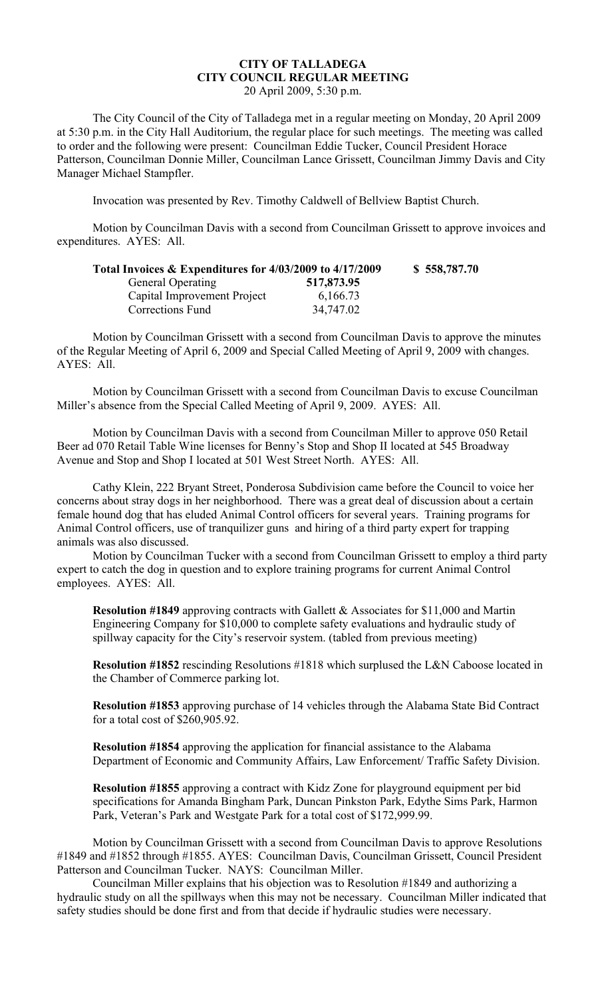## **CITY OF TALLADEGA CITY COUNCIL REGULAR MEETING** 20 April 2009, 5:30 p.m.

The City Council of the City of Talladega met in a regular meeting on Monday, 20 April 2009 at 5:30 p.m. in the City Hall Auditorium, the regular place for such meetings. The meeting was called to order and the following were present: Councilman Eddie Tucker, Council President Horace Patterson, Councilman Donnie Miller, Councilman Lance Grissett, Councilman Jimmy Davis and City Manager Michael Stampfler.

Invocation was presented by Rev. Timothy Caldwell of Bellview Baptist Church.

Motion by Councilman Davis with a second from Councilman Grissett to approve invoices and expenditures. AYES: All.

| Total Invoices & Expenditures for 4/03/2009 to 4/17/2009 |            | \$558,787.70 |
|----------------------------------------------------------|------------|--------------|
| <b>General Operating</b>                                 | 517,873.95 |              |
| Capital Improvement Project                              | 6,166.73   |              |
| Corrections Fund                                         | 34,747.02  |              |

Motion by Councilman Grissett with a second from Councilman Davis to approve the minutes of the Regular Meeting of April 6, 2009 and Special Called Meeting of April 9, 2009 with changes. AYES: All.

Motion by Councilman Grissett with a second from Councilman Davis to excuse Councilman Miller's absence from the Special Called Meeting of April 9, 2009. AYES: All.

Motion by Councilman Davis with a second from Councilman Miller to approve 050 Retail Beer ad 070 Retail Table Wine licenses for Benny's Stop and Shop II located at 545 Broadway Avenue and Stop and Shop I located at 501 West Street North. AYES: All.

Cathy Klein, 222 Bryant Street, Ponderosa Subdivision came before the Council to voice her concerns about stray dogs in her neighborhood. There was a great deal of discussion about a certain female hound dog that has eluded Animal Control officers for several years. Training programs for Animal Control officers, use of tranquilizer guns and hiring of a third party expert for trapping animals was also discussed.

Motion by Councilman Tucker with a second from Councilman Grissett to employ a third party expert to catch the dog in question and to explore training programs for current Animal Control employees. AYES: All.

**Resolution #1849** approving contracts with Gallett & Associates for \$11,000 and Martin Engineering Company for \$10,000 to complete safety evaluations and hydraulic study of spillway capacity for the City's reservoir system. (tabled from previous meeting)

**Resolution #1852** rescinding Resolutions #1818 which surplused the L&N Caboose located in the Chamber of Commerce parking lot.

**Resolution #1853** approving purchase of 14 vehicles through the Alabama State Bid Contract for a total cost of \$260,905.92.

**Resolution #1854** approving the application for financial assistance to the Alabama Department of Economic and Community Affairs, Law Enforcement/ Traffic Safety Division.

**Resolution #1855** approving a contract with Kidz Zone for playground equipment per bid specifications for Amanda Bingham Park, Duncan Pinkston Park, Edythe Sims Park, Harmon Park, Veteran's Park and Westgate Park for a total cost of \$172,999.99.

Motion by Councilman Grissett with a second from Councilman Davis to approve Resolutions #1849 and #1852 through #1855. AYES: Councilman Davis, Councilman Grissett, Council President Patterson and Councilman Tucker. NAYS: Councilman Miller.

Councilman Miller explains that his objection was to Resolution #1849 and authorizing a hydraulic study on all the spillways when this may not be necessary. Councilman Miller indicated that safety studies should be done first and from that decide if hydraulic studies were necessary.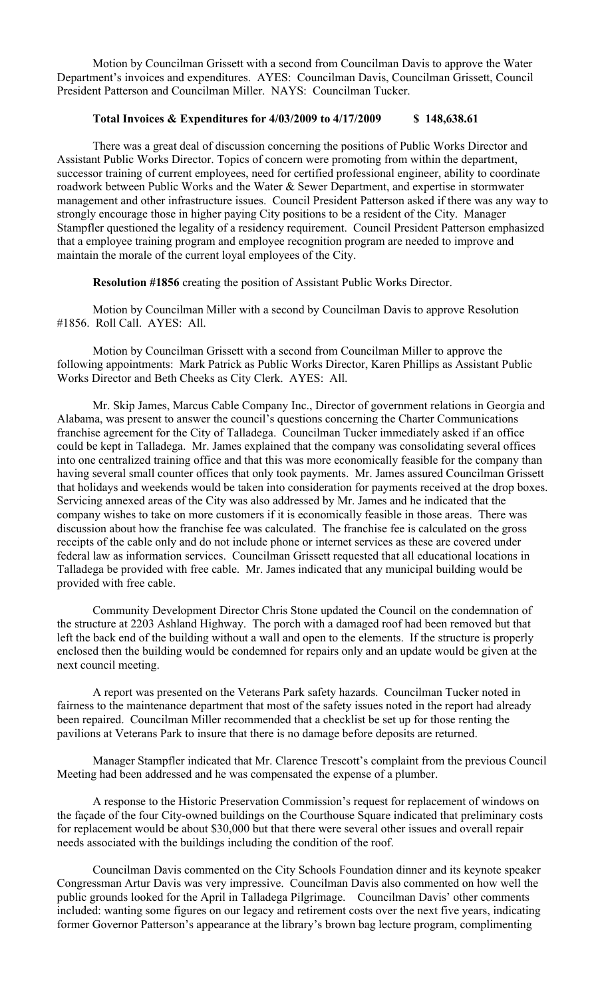Motion by Councilman Grissett with a second from Councilman Davis to approve the Water Department's invoices and expenditures. AYES: Councilman Davis, Councilman Grissett, Council President Patterson and Councilman Miller. NAYS: Councilman Tucker.

## **Total Invoices & Expenditures for 4/03/2009 to 4/17/2009 \$ 148,638.61**

There was a great deal of discussion concerning the positions of Public Works Director and Assistant Public Works Director. Topics of concern were promoting from within the department, successor training of current employees, need for certified professional engineer, ability to coordinate roadwork between Public Works and the Water & Sewer Department, and expertise in stormwater management and other infrastructure issues. Council President Patterson asked if there was any way to strongly encourage those in higher paying City positions to be a resident of the City. Manager Stampfler questioned the legality of a residency requirement. Council President Patterson emphasized that a employee training program and employee recognition program are needed to improve and maintain the morale of the current loyal employees of the City.

**Resolution #1856** creating the position of Assistant Public Works Director.

Motion by Councilman Miller with a second by Councilman Davis to approve Resolution #1856. Roll Call. AYES: All.

Motion by Councilman Grissett with a second from Councilman Miller to approve the following appointments: Mark Patrick as Public Works Director, Karen Phillips as Assistant Public Works Director and Beth Cheeks as City Clerk. AYES: All.

Mr. Skip James, Marcus Cable Company Inc., Director of government relations in Georgia and Alabama, was present to answer the council's questions concerning the Charter Communications franchise agreement for the City of Talladega. Councilman Tucker immediately asked if an office could be kept in Talladega. Mr. James explained that the company was consolidating several offices into one centralized training office and that this was more economically feasible for the company than having several small counter offices that only took payments. Mr. James assured Councilman Grissett that holidays and weekends would be taken into consideration for payments received at the drop boxes. Servicing annexed areas of the City was also addressed by Mr. James and he indicated that the company wishes to take on more customers if it is economically feasible in those areas. There was discussion about how the franchise fee was calculated. The franchise fee is calculated on the gross receipts of the cable only and do not include phone or internet services as these are covered under federal law as information services. Councilman Grissett requested that all educational locations in Talladega be provided with free cable. Mr. James indicated that any municipal building would be provided with free cable.

Community Development Director Chris Stone updated the Council on the condemnation of the structure at 2203 Ashland Highway. The porch with a damaged roof had been removed but that left the back end of the building without a wall and open to the elements. If the structure is properly enclosed then the building would be condemned for repairs only and an update would be given at the next council meeting.

A report was presented on the Veterans Park safety hazards. Councilman Tucker noted in fairness to the maintenance department that most of the safety issues noted in the report had already been repaired. Councilman Miller recommended that a checklist be set up for those renting the pavilions at Veterans Park to insure that there is no damage before deposits are returned.

Manager Stampfler indicated that Mr. Clarence Trescott's complaint from the previous Council Meeting had been addressed and he was compensated the expense of a plumber.

A response to the Historic Preservation Commission's request for replacement of windows on the façade of the four City-owned buildings on the Courthouse Square indicated that preliminary costs for replacement would be about \$30,000 but that there were several other issues and overall repair needs associated with the buildings including the condition of the roof.

Councilman Davis commented on the City Schools Foundation dinner and its keynote speaker Congressman Artur Davis was very impressive. Councilman Davis also commented on how well the public grounds looked for the April in Talladega Pilgrimage. Councilman Davis' other comments included: wanting some figures on our legacy and retirement costs over the next five years, indicating former Governor Patterson's appearance at the library's brown bag lecture program, complimenting